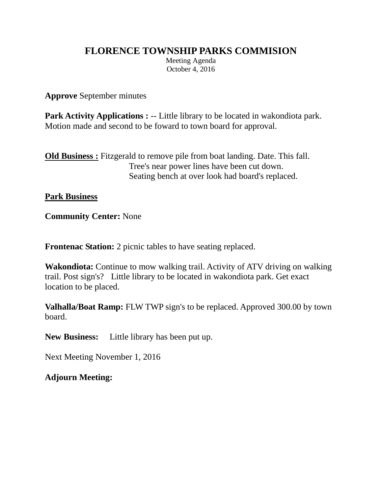## **FLORENCE TOWNSHIP PARKS COMMISION**

Meeting Agenda October 4, 2016

**Approve** September minutes

**Park Activity Applications :** -- Little library to be located in wakondiota park. Motion made and second to be foward to town board for approval.

**Old Business :** Fitzgerald to remove pile from boat landing. Date. This fall. Tree's near power lines have been cut down. Seating bench at over look had board's replaced.

**Park Business**

**Community Center:** None

**Frontenac Station:** 2 picnic tables to have seating replaced.

**Wakondiota:** Continue to mow walking trail. Activity of ATV driving on walking trail. Post sign's? Little library to be located in wakondiota park. Get exact location to be placed.

**Valhalla/Boat Ramp:** FLW TWP sign's to be replaced. Approved 300.00 by town board.

**New Business:** Little library has been put up.

Next Meeting November 1, 2016

**Adjourn Meeting:**